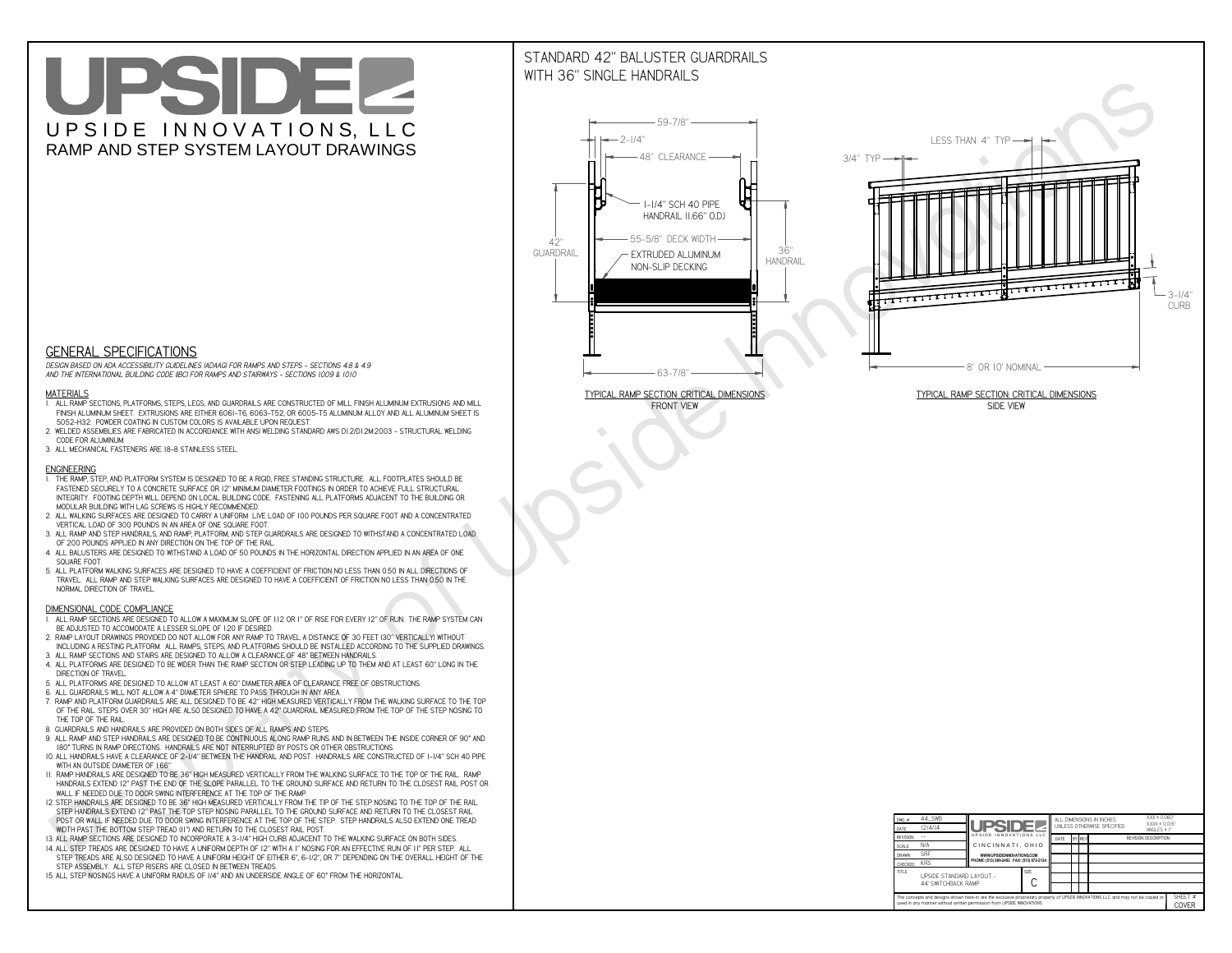# UPSIDEL UPSIDE INNOVATIONS, LLC RAMP AND STEP SYSTEM LAYOUT DRAWINGS

## STANDARD 42" BALUSTER GUARDRAILSWITH 36" SINGLE HANDRAILS

**FRONT VIEW**





**GENERAL SPECIFICATIONS**

 *DESIGN BASED ON ADA ACCESSIBILITY GUIDELINES (ADAAG) FOR RAMPS AND STEPS - SECTIONS 4.8 & 4.9AND THE INTERNATIONAL BUILDING CODE (IBC) FOR RAMPS AND STAIRWAYS - SECTIONS 1009 & 1010*

#### **MATERIALS**

- **1. ALL RAMP SECTIONS, PLATFORMS, STEPS, LEGS, AND GUARDRAILS ARE CONSTRUCTED OF MILL FINISH ALUMINUM EXTRUSIONS AND MILL FINISH ALUMINUM SHEET. EXTRUSIONS ARE EITHER 6061-T6, 6063-T52, OR 6005-T5 ALUMINUM ALLOY AND ALL ALUMINUM SHEET IS 5052-H32. POWDER COATING IN CUSTOM COLORS IS AVAILABLE UPON REQUEST.**
- **2. WELDED ASSEMBLIES ARE FABRICATED IN ACCORDANCE WITH ANSI WELDING STANDARD AWS D1.2/D1.2M:2003 STRUCTURAL WELDING CODE FOR ALUMINUM.**
- **3. ALL MECHANICAL FASTENERS ARE 18-8 STAINLESS STEEL.**

#### **ENGINEERING**

- **1. THE RAMP, STEP, AND PLATFORM SYSTEM IS DESIGNED TO BE A RIGID, FREE STANDING STRUCTURE. ALL FOOTPLATES SHOULD BE FASTENED SECURELY TO A CONCRETE SURFACE OR 12" MINIMUM DIAMETER FOOTINGS IN ORDER TO ACHIEVE FULL STRUCTURAL INTEGRITY. FOOTING DEPTH WILL DEPEND ON LOCAL BUILDING CODE. FASTENING ALL PLATFORMS ADJACENT TO THE BUILDING OR MODULAR BUILDING WITH LAG SCREWS IS HIGHLY RECOMMENDED.**
- **2. ALL WALKING SURFACES ARE DESIGNED TO CARRY A UNIFORM LIVE LOAD OF 100 POUNDS PER SQUARE FOOT AND A CONCENTRATED VERTICAL LOAD OF 300 POUNDS IN AN AREA OF ONE SQUARE FOOT.**
- **3. ALL RAMP AND STEP HANDRAILS, AND RAMP, PLATFORM, AND STEP GUARDRAILS ARE DESIGNED TO WITHSTAND A CONCENTRATED LOAD OF 200 POUNDS APPLIED IN ANY DIRECTION ON THE TOP OF THE RAIL.**
- **4. ALL BALUSTERS ARE DESIGNED TO WITHSTAND A LOAD OF 50 POUNDS IN THE HORIZONTAL DIRECTION APPLIED IN AN AREA OF ONE SQUARE FOOT.**
- **5. ALL PLATFORM WALKING SURFACES ARE DESIGNED TO HAVE A COEFFICIENT OF FRICTION NO LESS THAN 0.50 IN ALL DIRECTIONS OF TRAVEL. ALL RAMP AND STEP WALKING SURFACES ARE DESIGNED TO HAVE A COEFFICIENT OF FRICTION NO LESS THAN 0.50 IN THE NORMAL DIRECTION OF TRAVEL.**

| $DWG.$ #<br>DATE                                                                                                                                                                                            | 44_SWB<br>12/4/14                               | UPSIDEL                                   |             | ALL DIMENSIONS IN INCHES<br>UNI FSS OTHERWISE SPECIFIED |  |               |                             | $XXX = 0.060"$<br>$XXX \pm 0.015$ "<br>ANGLES $\pm$ 1° |                  |
|-------------------------------------------------------------------------------------------------------------------------------------------------------------------------------------------------------------|-------------------------------------------------|-------------------------------------------|-------------|---------------------------------------------------------|--|---------------|-----------------------------|--------------------------------------------------------|------------------|
| <b>REVISION</b>                                                                                                                                                                                             |                                                 | UPSIDE INNOVATIONS LLC                    |             | DATE                                                    |  | <b>BY REV</b> | <b>REVISION DESCRIPTION</b> |                                                        |                  |
| <b>SCALE</b>                                                                                                                                                                                                | N/A                                             | CINCINNATI, OHIO                          |             |                                                         |  |               |                             |                                                        |                  |
| <b>DRAWN</b>                                                                                                                                                                                                | <b>SRF</b>                                      | WWW.UPSIDEINNOVATIONS.COM                 |             |                                                         |  |               |                             |                                                        |                  |
| CHECKED                                                                                                                                                                                                     | <b>KRS</b>                                      | PHONE: (513) 889-2492 FAX: (513) 672-2124 |             |                                                         |  |               |                             |                                                        |                  |
| <b>TITLE</b>                                                                                                                                                                                                | UPSIDE STANDARD LAYOUT -<br>44' SWITCHBACK RAMP |                                           | <b>SIZE</b> |                                                         |  |               |                             |                                                        |                  |
| The concepts and designs shown here-in are the exclusive proprietary property of UPSIDE INNOVATIONS LLC. and may not be copied or<br>used in any manner without written permission from UPSIDE INNOVATIONS. |                                                 |                                           |             |                                                         |  |               |                             |                                                        | SHEET #<br>COVER |

### **DIMENSIONAL CODE COMPLIANCE**

- **1. ALL RAMP SECTIONS ARE DESIGNED TO ALLOW A MAXIMUM SLOPE OF 1:12 OR 1" OF RISE FOR EVERY 12" OF RUN. THE RAMP SYSTEM CAN BE ADJUSTED TO ACCOMODATE A LESSER SLOPE OF 1:20 IF DESIRED.**
- **2. RAMP LAYOUT DRAWINGS PROVIDED DO NOT ALLOW FOR ANY RAMP TO TRAVEL A DISTANCE OF 30 FEET (30" VERTICALLY) WITHOUT INCLUDING A RESTING PLATFORM. ALL RAMPS, STEPS, AND PLATFORMS SHOULD BE INSTALLED ACCORDING TO THE SUPPLIED DRAWINGS.**
- **3. ALL RAMP SECTIONS AND STAIRS ARE DESIGNED TO ALLOW A CLEARANCE OF 48" BETWEEN HANDRAILS.**
- **4. ALL PLATFORMS ARE DESIGNED TO BE WIDER THAN THE RAMP SECTION OR STEP LEADING UP TO THEM AND AT LEAST 60" LONG IN THE DIRECTION OF TRAVEL.**
- **5. ALL PLATFORMS ARE DESIGNED TO ALLOW AT LEAST A 60" DIAMETER AREA OF CLEARANCE FREE OF OBSTRUCTIONS.**
- **6. ALL GUARDRAILS WILL NOT ALLOW A 4" DIAMETER SPHERE TO PASS THROUGH IN ANY AREA.**
- **7. RAMP AND PLATFORM GUARDRAILS ARE ALL DESIGNED TO BE 42" HIGH MEASURED VERTICALLY FROM THE WALKING SURFACE TO THE TOP OF THE RAIL. STEPS OVER 30" HIGH ARE ALSO DESIGNED TO HAVE A 42" GUARDRAIL MEASURED FROM THE TOP OF THE STEP NOSING TO THE TOP OF THE RAIL.**
- **8. GUARDRAILS AND HANDRAILS ARE PROVIDED ON BOTH SIDES OF ALL RAMPS AND STEPS.**
- **9. ALL RAMP AND STEP HANDRAILS ARE DESIGNED TO BE CONTINUOUS ALONG RAMP RUNS AND IN BETWEEN THE INSIDE CORNER OF 90° AND 180° TURNS IN RAMP DIRECTIONS. HANDRAILS ARE NOT INTERRUPTED BY POSTS OR OTHER OBSTRUCTIONS.**
- **10. ALL HANDRAILS HAVE A CLEARANCE OF 2-1/4" BETWEEN THE HANDRAIL AND POST. HANDRAILS ARE CONSTRUCTED OF 1-1/4" SCH 40 PIPE WITH AN OUTSIDE DIAMETER OF 1.66"**
- **11. RAMP HANDRAILS ARE DESIGNED TO BE 36" HIGH MEASURED VERTICALLY FROM THE WALKING SURFACE TO THE TOP OF THE RAIL. RAMP HANDRAILS EXTEND 12" PAST THE END OF THE SLOPE PARALLEL TO THE GROUND SURFACE AND RETURN TO THE CLOSEST RAIL POST OR WALL IF NEEDED DUE TO DOOR SWING INTERFERENCE AT THE TOP OF THE RAMP.**
- **12. STEP HANDRAILS ARE DESIGNED TO BE 36" HIGH MEASURED VERTICALLY FROM THE TIP OF THE STEP NOSING TO THE TOP OF THE RAIL. STEP HANDRAILS EXTEND 12" PAST THE TOP STEP NOSING PARALLEL TO THE GROUND SURFACE AND RETURN TO THE CLOSEST RAIL POST OR WALL IF NEEDED DUE TO DOOR SWING INTERFERENCE AT THE TOP OF THE STEP. STEP HANDRAILS ALSO EXTEND ONE TREAD**
- **WIDTH PAST THE BOTTOM STEP TREAD (11") AND RETURN TO THE CLOSEST RAIL POST.**
- **13. ALL RAMP SECTIONS ARE DESIGNED TO INCORPORATE A 3-1/4" HIGH CURB ADJACENT TO THE WALKING SURFACE ON BOTH SIDES.**
- **14. ALL STEP TREADS ARE DESIGNED TO HAVE A UNIFORM DEPTH OF 12" WITH A 1" NOSING FOR AN EFFECTIVE RUN OF 11" PER STEP. ALL STEP TREADS ARE ALSO DESIGNED TO HAVE A UNIFORM HEIGHT OF EITHER 6", 6-1/2", OR 7" DEPENDING ON THE OVERALL HEIGHT OF THE STEP ASSEMBLY. ALL STEP RISERS ARE CLOSED IN BETWEEN TREADS.**
- **15. ALL STEP NOSINGS HAVE A UNIFORM RADIUS OF 1/4" AND AN UNDERSIDE ANGLE OF 60° FROM THE HORIZONTAL.**